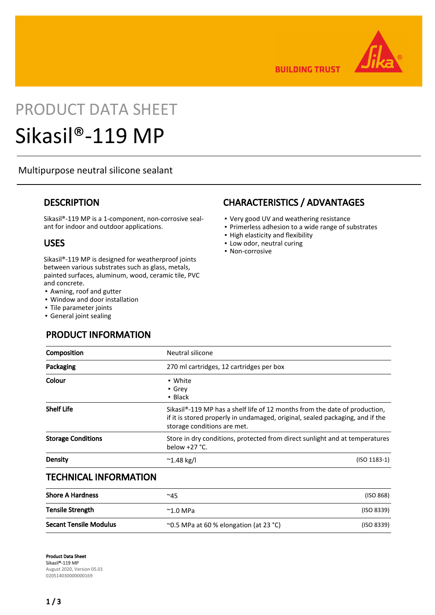

**BUILDING TRUST** 

# PRODUCT DATA SHEET

## Sikasil®-119 MP

## Multipurpose neutral silicone sealant

## **DESCRIPTION**

Sikasil®-119 MP is a 1-component, non-corrosive sealant for indoor and outdoor applications.

## USES

Sikasil®-119 MP is designed for weatherproof joints between various substrates such as glass, metals, painted surfaces, aluminum, wood, ceramic tile, PVC and concrete.

- Awning, roof and gutter
- Window and door installation
- Tile parameter joints
- **General joint sealing**

## PRODUCT INFORMATION

## CHARACTERISTICS / ADVANTAGES

- Very good UV and weathering resistance
- Primerless adhesion to a wide range of substrates
- High elasticity and flexibility
- Low odor, neutral curing
- Non-corrosive

| Composition               | Neutral silicone                                                                                                                                                                                        |  |  |
|---------------------------|---------------------------------------------------------------------------------------------------------------------------------------------------------------------------------------------------------|--|--|
| Packaging                 | 270 ml cartridges, 12 cartridges per box                                                                                                                                                                |  |  |
| Colour                    | • White<br>• Grey<br>$\blacksquare$ Black                                                                                                                                                               |  |  |
| <b>Shelf Life</b>         | Sikasil <sup>®</sup> -119 MP has a shelf life of 12 months from the date of production,<br>if it is stored properly in undamaged, original, sealed packaging, and if the<br>storage conditions are met. |  |  |
| <b>Storage Conditions</b> | Store in dry conditions, protected from direct sunlight and at temperatures<br>below $+27$ °C.                                                                                                          |  |  |
| Density                   | $(ISO 1183-1)$<br>$^{\sim}$ 1.48 kg/l                                                                                                                                                                   |  |  |
| TEAULUA LUIRADLI LITIALI  |                                                                                                                                                                                                         |  |  |

## TECHNICAL INFORMATION

| <b>Shore A Hardness</b>       | $^{\sim}45$                                  | (ISO 868)  |
|-------------------------------|----------------------------------------------|------------|
| <b>Tensile Strength</b>       | $^{\sim}$ 1.0 MPa                            | (ISO 8339) |
| <b>Secant Tensile Modulus</b> | $\sim$ 0.5 MPa at 60 % elongation (at 23 °C) | (ISO 8339) |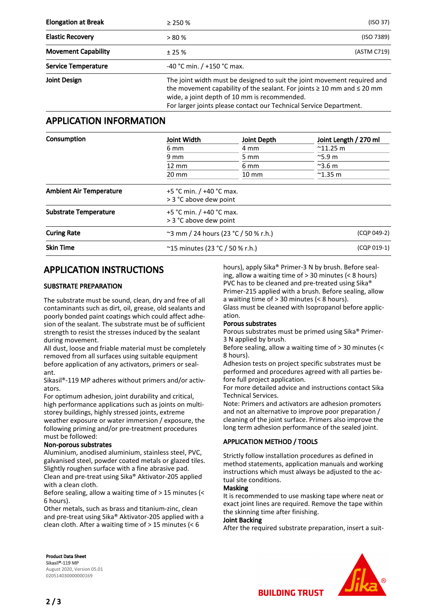| <b>Elongation at Break</b> | $\geq$ 250 %                 | (ISO 37)                                                                                                                                                                                                                                                                           |  |
|----------------------------|------------------------------|------------------------------------------------------------------------------------------------------------------------------------------------------------------------------------------------------------------------------------------------------------------------------------|--|
| <b>Elastic Recovery</b>    | > 80%                        | (ISO 7389)                                                                                                                                                                                                                                                                         |  |
| <b>Movement Capability</b> | ± 25%                        | (ASTM C719)                                                                                                                                                                                                                                                                        |  |
| <b>Service Temperature</b> | -40 °C min. $/$ +150 °C max. |                                                                                                                                                                                                                                                                                    |  |
| Joint Design               |                              | The joint width must be designed to suit the joint movement required and<br>the movement capability of the sealant. For joints $\geq 10$ mm and $\leq 20$ mm<br>wide, a joint depth of 10 mm is recommended.<br>For larger joints please contact our Technical Service Department. |  |

## APPLICATION INFORMATION

| Consumption | Joint Width<br>6 mm<br>9 mm<br>$12 \text{ mm}$<br>$20 \text{ mm}$ | <b>Joint Depth</b><br>4 mm<br>$5 \text{ mm}$<br>6 mm<br>$10 \text{ mm}$ | Joint Length / 270 ml<br>$^{\sim}$ 11.25 m<br>$\approx$ 5.9 m<br>$^{\sim}$ 3.6 m<br>$^{\sim}$ 1.35 m |                                |                                                        |             |  |  |
|-------------|-------------------------------------------------------------------|-------------------------------------------------------------------------|------------------------------------------------------------------------------------------------------|--------------------------------|--------------------------------------------------------|-------------|--|--|
|             |                                                                   |                                                                         |                                                                                                      | <b>Ambient Air Temperature</b> | +5 °C min. $/$ +40 °C max.<br>> 3 °C above dew point   |             |  |  |
|             |                                                                   |                                                                         |                                                                                                      | <b>Substrate Temperature</b>   | +5 °C min. $/$ +40 °C max.<br>> 3 °C above dew point   |             |  |  |
|             |                                                                   |                                                                         |                                                                                                      | <b>Curing Rate</b>             | $\degree$ 3 mm / 24 hours (23 $\degree$ C / 50 % r.h.) | (CQP 049-2) |  |  |
|             |                                                                   |                                                                         |                                                                                                      | <b>Skin Time</b>               | ~15 minutes (23 °C / 50 % r.h.)                        | (CQP 019-1) |  |  |

## APPLICATION INSTRUCTIONS

#### SUBSTRATE PREPARATION

The substrate must be sound, clean, dry and free of all contaminants such as dirt, oil, grease, old sealants and poorly bonded paint coatings which could affect adhesion of the sealant. The substrate must be of sufficient strength to resist the stresses induced by the sealant during movement.

All dust, loose and friable material must be completely removed from all surfaces using suitable equipment before application of any activators, primers or sealant.

Sikasil®-119 MP adheres without primers and/or activators.

For optimum adhesion, joint durability and critical, high performance applications such as joints on multistorey buildings, highly stressed joints, extreme weather exposure or water immersion / exposure, the following priming and/or pre-treatment procedures must be followed:

#### Non-porous substrates

Aluminium, anodised aluminium, stainless steel, PVC, galvanised steel, powder coated metals or glazed tiles. Slightly roughen surface with a fine abrasive pad. Clean and pre-treat using Sika® Aktivator-205 applied with a clean cloth.

Before sealing, allow a waiting time of > 15 minutes (< 6 hours).

Other metals, such as brass and titanium-zinc, clean and pre-treat using Sika® Aktivator-205 applied with a clean cloth. After a waiting time of > 15 minutes (< 6

hours), apply Sika® Primer-3 N by brush. Before sealing, allow a waiting time of > 30 minutes (< 8 hours) PVC has to be cleaned and pre-treated using Sika® Primer-215 applied with a brush. Before sealing, allow a waiting time of > 30 minutes (< 8 hours).

Glass must be cleaned with Isopropanol before application.

#### Porous substrates

Porous substrates must be primed using Sika® Primer-3 N applied by brush.

Before sealing, allow a waiting time of > 30 minutes (< 8 hours).

Adhesion tests on project specific substrates must be performed and procedures agreed with all parties before full project application.

For more detailed advice and instructions contact Sika Technical Services.

Note: Primers and activators are adhesion promoters and not an alternative to improve poor preparation / cleaning of the joint surface. Primers also improve the long term adhesion performance of the sealed joint.

#### APPLICATION METHOD / TOOLS

Strictly follow installation procedures as defined in method statements, application manuals and working instructions which must always be adjusted to the actual site conditions.

#### Masking

It is recommended to use masking tape where neat or exact joint lines are required. Remove the tape within the skinning time after finishing.

#### Joint Backing

After the required substrate preparation, insert a suit-



Product Data Sheet Sikasil®-119 MP August 2020, Version 05.01 020514030000000169

**BUILDING TRUST**